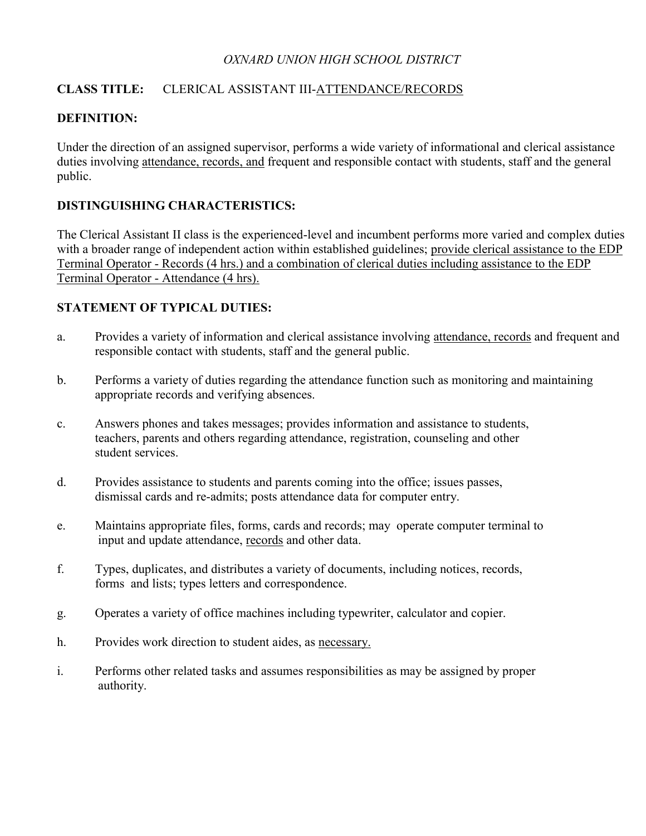### *OXNARD UNION HIGH SCHOOL DISTRICT*

# **CLASS TITLE:** CLERICAL ASSISTANT III-ATTENDANCE/RECORDS

# **DEFINITION:**

Under the direction of an assigned supervisor, performs a wide variety of informational and clerical assistance duties involving attendance, records, and frequent and responsible contact with students, staff and the general public.

# **DISTINGUISHING CHARACTERISTICS:**

The Clerical Assistant II class is the experienced-level and incumbent performs more varied and complex duties with a broader range of independent action within established guidelines; provide clerical assistance to the EDP Terminal Operator - Records (4 hrs.) and a combination of clerical duties including assistance to the EDP Terminal Operator - Attendance (4 hrs).

### **STATEMENT OF TYPICAL DUTIES:**

- a. Provides a variety of information and clerical assistance involving attendance, records and frequent and responsible contact with students, staff and the general public.
- b. Performs a variety of duties regarding the attendance function such as monitoring and maintaining appropriate records and verifying absences.
- c. Answers phones and takes messages; provides information and assistance to students, teachers, parents and others regarding attendance, registration, counseling and other student services.
- d. Provides assistance to students and parents coming into the office; issues passes, dismissal cards and re-admits; posts attendance data for computer entry.
- e. Maintains appropriate files, forms, cards and records; may operate computer terminal to input and update attendance, records and other data.
- f. Types, duplicates, and distributes a variety of documents, including notices, records, forms and lists; types letters and correspondence.
- g. Operates a variety of office machines including typewriter, calculator and copier.
- h. Provides work direction to student aides, as necessary.
- i. Performs other related tasks and assumes responsibilities as may be assigned by proper authority.